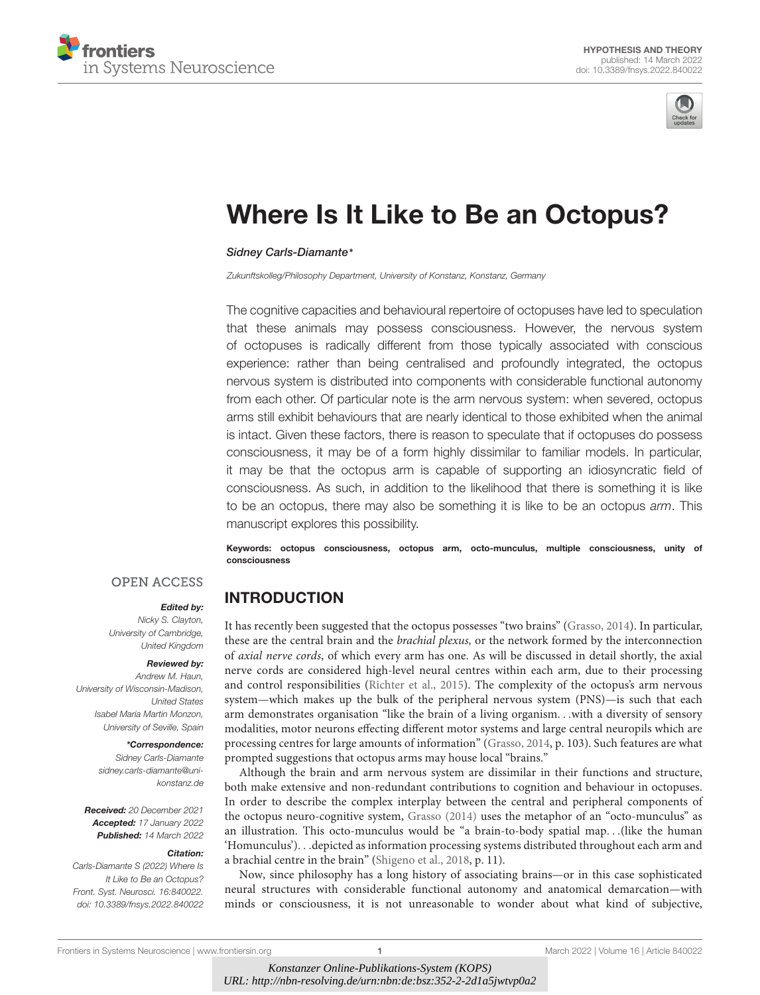



# [Where Is It Like to Be an Octopus?](https://www.frontiersin.org/articles/10.3389/fnsys.2022.840022/full)

#### Sidney Carls-Diamante\*

Zukunftskolleg/Philosophy Department, University of Konstanz, Konstanz, Germany

The cognitive capacities and behavioural repertoire of octopuses have led to speculation that these animals may possess consciousness. However, the nervous system of octopuses is radically different from those typically associated with conscious experience: rather than being centralised and profoundly integrated, the octopus nervous system is distributed into components with considerable functional autonomy from each other. Of particular note is the arm nervous system: when severed, octopus arms still exhibit behaviours that are nearly identical to those exhibited when the animal is intact. Given these factors, there is reason to speculate that if octopuses do possess consciousness, it may be of a form highly dissimilar to familiar models. In particular, it may be that the octopus arm is capable of supporting an idiosyncratic field of consciousness. As such, in addition to the likelihood that there is something it is like to be an octopus, there may also be something it is like to be an octopus arm. This manuscript explores this possibility.

Keywords: octopus consciousness, octopus arm, octo-munculus, multiple consciousness, unity of consciousness

Edited by:

Nicky S. Clayton, University of Cambridge, United Kingdom

**OPEN ACCESS** 

#### Reviewed by:

Andrew M. Haun, University of Wisconsin-Madison, United States Isabel Maria Martin Monzon, University of Seville, Spain

#### \*Correspondence:

Sidney Carls-Diamante sidney.carls-diamante@unikonstanz.de

Received: 20 December 2021 Accepted: 17 January 2022 Published: 14 March 2022

#### Citation:

Carls-Diamante S (2022) Where Is It Like to Be an Octopus? Front. Syst. Neurosci. 16:840022. doi: [10.3389/fnsys.2022.840022](https://doi.org/10.3389/fnsys.2022.840022) INTRODUCTION

It has recently been suggested that the octopus possesses "two brains" [\(Grasso,](#page-7-0) [2014\)](#page-7-0). In particular, these are the central brain and the brachial plexus, or the network formed by the interconnection of axial nerve cords, of which every arm has one. As will be discussed in detail shortly, the axial nerve cords are considered high-level neural centres within each arm, due to their processing and control responsibilities [\(Richter et al.,](#page-8-0) [2015\)](#page-8-0). The complexity of the octopus's arm nervous system—which makes up the bulk of the peripheral nervous system (PNS)—is such that each arm demonstrates organisation "like the brain of a living organism. . .with a diversity of sensory modalities, motor neurons effecting different motor systems and large central neuropils which are processing centres for large amounts of information" [\(Grasso,](#page-7-0) [2014,](#page-7-0) p. 103). Such features are what prompted suggestions that octopus arms may house local "brains."

Although the brain and arm nervous system are dissimilar in their functions and structure, both make extensive and non-redundant contributions to cognition and behaviour in octopuses. In order to describe the complex interplay between the central and peripheral components of the octopus neuro-cognitive system, [Grasso](#page-7-0) [\(2014\)](#page-7-0) uses the metaphor of an "octo-munculus" as an illustration. This octo-munculus would be "a brain-to-body spatial map. . .(like the human 'Homunculus'). . .depicted as information processing systems distributed throughout each arm and a brachial centre in the brain" [\(Shigeno et al.,](#page-8-1) [2018,](#page-8-1) p. 11).

Now, since philosophy has a long history of associating brains—or in this case sophisticated neural structures with considerable functional autonomy and anatomical demarcation—with minds or consciousness, it is not unreasonable to wonder about what kind of subjective,

[Frontiers in Systems Neuroscience](https://www.frontiersin.org/journals/systems-neuroscience) | [www.frontiersin.org](https://www.frontiersin.org/) 1 March 2022 | Volume 16 | [Article 840022](https://www.frontiersin.org/journals/systems-neuroscience#articles)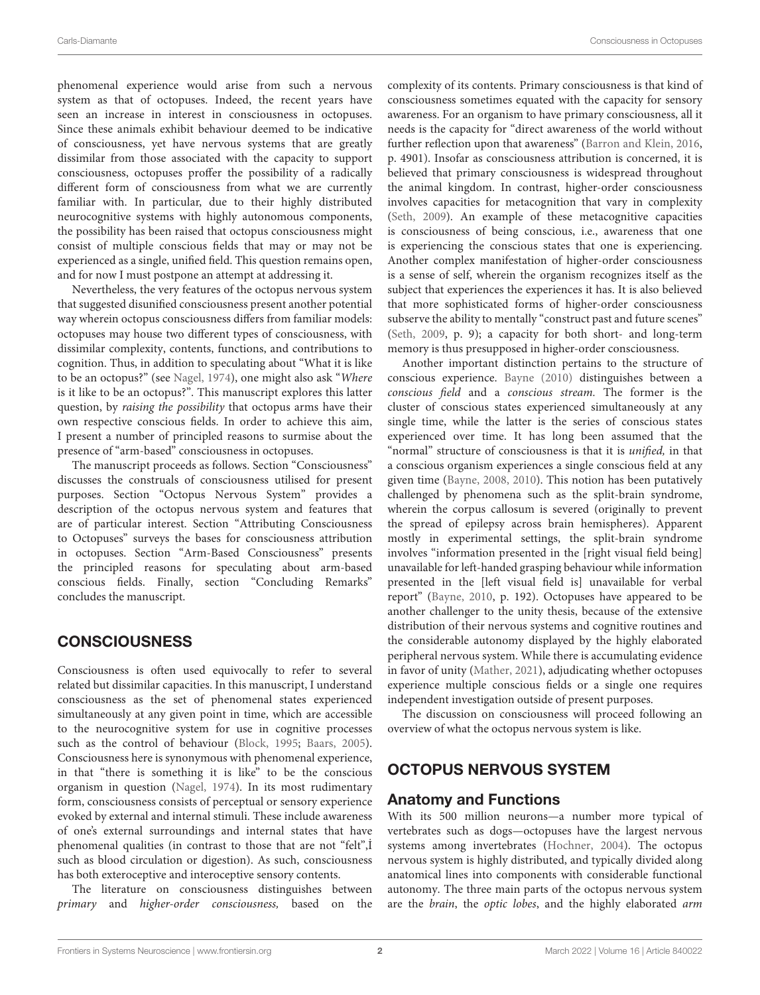phenomenal experience would arise from such a nervous system as that of octopuses. Indeed, the recent years have seen an increase in interest in consciousness in octopuses. Since these animals exhibit behaviour deemed to be indicative of consciousness, yet have nervous systems that are greatly dissimilar from those associated with the capacity to support consciousness, octopuses proffer the possibility of a radically different form of consciousness from what we are currently familiar with. In particular, due to their highly distributed neurocognitive systems with highly autonomous components, the possibility has been raised that octopus consciousness might consist of multiple conscious fields that may or may not be experienced as a single, unified field. This question remains open, and for now I must postpone an attempt at addressing it.

Nevertheless, the very features of the octopus nervous system that suggested disunified consciousness present another potential way wherein octopus consciousness differs from familiar models: octopuses may house two different types of consciousness, with dissimilar complexity, contents, functions, and contributions to cognition. Thus, in addition to speculating about "What it is like to be an octopus?" (see [Nagel,](#page-8-2) [1974\)](#page-8-2), one might also ask "Where is it like to be an octopus?". This manuscript explores this latter question, by raising the possibility that octopus arms have their own respective conscious fields. In order to achieve this aim, I present a number of principled reasons to surmise about the presence of "arm-based" consciousness in octopuses.

The manuscript proceeds as follows. Section "Consciousness" discusses the construals of consciousness utilised for present purposes. Section "Octopus Nervous System" provides a description of the octopus nervous system and features that are of particular interest. Section "Attributing Consciousness to Octopuses" surveys the bases for consciousness attribution in octopuses. Section "Arm-Based Consciousness" presents the principled reasons for speculating about arm-based conscious fields. Finally, section "Concluding Remarks" concludes the manuscript.

### **CONSCIOUSNESS**

Consciousness is often used equivocally to refer to several related but dissimilar capacities. In this manuscript, I understand consciousness as the set of phenomenal states experienced simultaneously at any given point in time, which are accessible to the neurocognitive system for use in cognitive processes such as the control of behaviour [\(Block,](#page-7-1) [1995;](#page-7-1) [Baars,](#page-7-2) [2005\)](#page-7-2). Consciousness here is synonymous with phenomenal experience, in that "there is something it is like" to be the conscious organism in question [\(Nagel,](#page-8-2) [1974\)](#page-8-2). In its most rudimentary form, consciousness consists of perceptual or sensory experience evoked by external and internal stimuli. These include awareness of one's external surroundings and internal states that have phenomenal qualities (in contrast to those that are not "felt",İ such as blood circulation or digestion). As such, consciousness has both exteroceptive and interoceptive sensory contents.

The literature on consciousness distinguishes between primary and higher-order consciousness, based on the complexity of its contents. Primary consciousness is that kind of consciousness sometimes equated with the capacity for sensory awareness. For an organism to have primary consciousness, all it needs is the capacity for "direct awareness of the world without further reflection upon that awareness" [\(Barron and Klein,](#page-7-3) [2016,](#page-7-3) p. 4901). Insofar as consciousness attribution is concerned, it is believed that primary consciousness is widespread throughout the animal kingdom. In contrast, higher-order consciousness involves capacities for metacognition that vary in complexity [\(Seth,](#page-8-3) [2009\)](#page-8-3). An example of these metacognitive capacities is consciousness of being conscious, i.e., awareness that one is experiencing the conscious states that one is experiencing. Another complex manifestation of higher-order consciousness is a sense of self, wherein the organism recognizes itself as the subject that experiences the experiences it has. It is also believed that more sophisticated forms of higher-order consciousness subserve the ability to mentally "construct past and future scenes" [\(Seth,](#page-8-3) [2009,](#page-8-3) p. 9); a capacity for both short- and long-term memory is thus presupposed in higher-order consciousness.

Another important distinction pertains to the structure of conscious experience. [Bayne](#page-7-4) [\(2010\)](#page-7-4) distinguishes between a conscious field and a conscious stream. The former is the cluster of conscious states experienced simultaneously at any single time, while the latter is the series of conscious states experienced over time. It has long been assumed that the "normal" structure of consciousness is that it is unified, in that a conscious organism experiences a single conscious field at any given time [\(Bayne,](#page-7-5) [2008,](#page-7-5) [2010\)](#page-7-4). This notion has been putatively challenged by phenomena such as the split-brain syndrome, wherein the corpus callosum is severed (originally to prevent the spread of epilepsy across brain hemispheres). Apparent mostly in experimental settings, the split-brain syndrome involves "information presented in the [right visual field being] unavailable for left-handed grasping behaviour while information presented in the [left visual field is] unavailable for verbal report" [\(Bayne,](#page-7-4) [2010,](#page-7-4) p. 192). Octopuses have appeared to be another challenger to the unity thesis, because of the extensive distribution of their nervous systems and cognitive routines and the considerable autonomy displayed by the highly elaborated peripheral nervous system. While there is accumulating evidence in favor of unity [\(Mather,](#page-8-4) [2021\)](#page-8-4), adjudicating whether octopuses experience multiple conscious fields or a single one requires independent investigation outside of present purposes.

The discussion on consciousness will proceed following an overview of what the octopus nervous system is like.

## OCTOPUS NERVOUS SYSTEM

#### Anatomy and Functions

With its 500 million neurons—a number more typical of vertebrates such as dogs—octopuses have the largest nervous systems among invertebrates [\(Hochner,](#page-7-6) [2004\)](#page-7-6). The octopus nervous system is highly distributed, and typically divided along anatomical lines into components with considerable functional autonomy. The three main parts of the octopus nervous system are the brain, the optic lobes, and the highly elaborated arm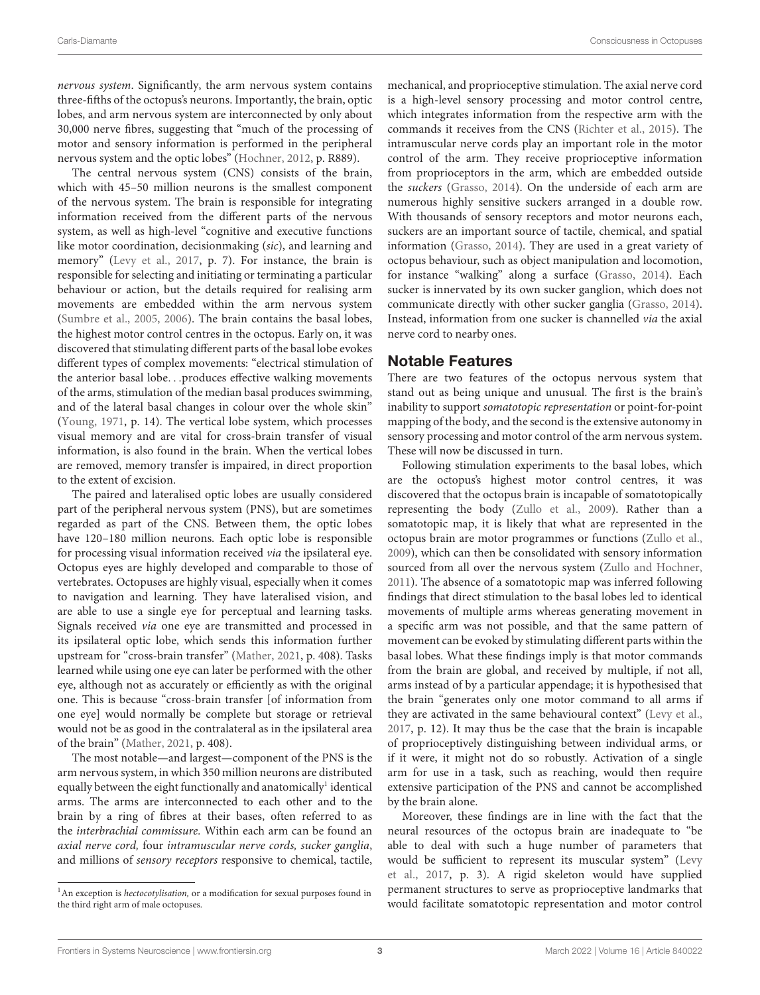nervous system. Significantly, the arm nervous system contains three-fifths of the octopus's neurons. Importantly, the brain, optic lobes, and arm nervous system are interconnected by only about 30,000 nerve fibres, suggesting that "much of the processing of motor and sensory information is performed in the peripheral nervous system and the optic lobes" [\(Hochner,](#page-7-7) [2012,](#page-7-7) p. R889).

The central nervous system (CNS) consists of the brain, which with 45–50 million neurons is the smallest component of the nervous system. The brain is responsible for integrating information received from the different parts of the nervous system, as well as high-level "cognitive and executive functions like motor coordination, decisionmaking (sic), and learning and memory" [\(Levy et al.,](#page-7-8) [2017,](#page-7-8) p. 7). For instance, the brain is responsible for selecting and initiating or terminating a particular behaviour or action, but the details required for realising arm movements are embedded within the arm nervous system [\(Sumbre et al.,](#page-8-5) [2005,](#page-8-5) [2006\)](#page-8-6). The brain contains the basal lobes, the highest motor control centres in the octopus. Early on, it was discovered that stimulating different parts of the basal lobe evokes different types of complex movements: "electrical stimulation of the anterior basal lobe. . .produces effective walking movements of the arms, stimulation of the median basal produces swimming, and of the lateral basal changes in colour over the whole skin" [\(Young,](#page-8-7) [1971,](#page-8-7) p. 14). The vertical lobe system, which processes visual memory and are vital for cross-brain transfer of visual information, is also found in the brain. When the vertical lobes are removed, memory transfer is impaired, in direct proportion to the extent of excision.

The paired and lateralised optic lobes are usually considered part of the peripheral nervous system (PNS), but are sometimes regarded as part of the CNS. Between them, the optic lobes have 120-180 million neurons. Each optic lobe is responsible for processing visual information received via the ipsilateral eye. Octopus eyes are highly developed and comparable to those of vertebrates. Octopuses are highly visual, especially when it comes to navigation and learning. They have lateralised vision, and are able to use a single eye for perceptual and learning tasks. Signals received via one eye are transmitted and processed in its ipsilateral optic lobe, which sends this information further upstream for "cross-brain transfer" [\(Mather,](#page-8-4) [2021,](#page-8-4) p. 408). Tasks learned while using one eye can later be performed with the other eye, although not as accurately or efficiently as with the original one. This is because "cross-brain transfer [of information from one eye] would normally be complete but storage or retrieval would not be as good in the contralateral as in the ipsilateral area of the brain" [\(Mather,](#page-8-4) [2021,](#page-8-4) p. 408).

The most notable—and largest—component of the PNS is the arm nervous system, in which 350 million neurons are distributed equally between the eight functionally and anatomically<sup>[1](#page-2-0)</sup> identical arms. The arms are interconnected to each other and to the brain by a ring of fibres at their bases, often referred to as the interbrachial commissure. Within each arm can be found an axial nerve cord, four intramuscular nerve cords, sucker ganglia, and millions of sensory receptors responsive to chemical, tactile, mechanical, and proprioceptive stimulation. The axial nerve cord is a high-level sensory processing and motor control centre, which integrates information from the respective arm with the commands it receives from the CNS [\(Richter et al.,](#page-8-0) [2015\)](#page-8-0). The intramuscular nerve cords play an important role in the motor control of the arm. They receive proprioceptive information from proprioceptors in the arm, which are embedded outside the suckers [\(Grasso,](#page-7-0) [2014\)](#page-7-0). On the underside of each arm are numerous highly sensitive suckers arranged in a double row. With thousands of sensory receptors and motor neurons each, suckers are an important source of tactile, chemical, and spatial information [\(Grasso,](#page-7-0) [2014\)](#page-7-0). They are used in a great variety of octopus behaviour, such as object manipulation and locomotion, for instance "walking" along a surface [\(Grasso,](#page-7-0) [2014\)](#page-7-0). Each sucker is innervated by its own sucker ganglion, which does not communicate directly with other sucker ganglia [\(Grasso,](#page-7-0) [2014\)](#page-7-0). Instead, information from one sucker is channelled via the axial nerve cord to nearby ones.

#### Notable Features

There are two features of the octopus nervous system that stand out as being unique and unusual. The first is the brain's inability to support somatotopic representation or point-for-point mapping of the body, and the second is the extensive autonomy in sensory processing and motor control of the arm nervous system. These will now be discussed in turn.

Following stimulation experiments to the basal lobes, which are the octopus's highest motor control centres, it was discovered that the octopus brain is incapable of somatotopically representing the body [\(Zullo et al.,](#page-8-8) [2009\)](#page-8-8). Rather than a somatotopic map, it is likely that what are represented in the octopus brain are motor programmes or functions [\(Zullo et al.,](#page-8-8) [2009\)](#page-8-8), which can then be consolidated with sensory information sourced from all over the nervous system [\(Zullo and Hochner,](#page-8-9) [2011\)](#page-8-9). The absence of a somatotopic map was inferred following findings that direct stimulation to the basal lobes led to identical movements of multiple arms whereas generating movement in a specific arm was not possible, and that the same pattern of movement can be evoked by stimulating different parts within the basal lobes. What these findings imply is that motor commands from the brain are global, and received by multiple, if not all, arms instead of by a particular appendage; it is hypothesised that the brain "generates only one motor command to all arms if they are activated in the same behavioural context" [\(Levy et al.,](#page-7-8) [2017,](#page-7-8) p. 12). It may thus be the case that the brain is incapable of proprioceptively distinguishing between individual arms, or if it were, it might not do so robustly. Activation of a single arm for use in a task, such as reaching, would then require extensive participation of the PNS and cannot be accomplished by the brain alone.

Moreover, these findings are in line with the fact that the neural resources of the octopus brain are inadequate to "be able to deal with such a huge number of parameters that would be sufficient to represent its muscular system" [\(Levy](#page-7-8) [et al.,](#page-7-8) [2017,](#page-7-8) p. 3). A rigid skeleton would have supplied permanent structures to serve as proprioceptive landmarks that would facilitate somatotopic representation and motor control

<span id="page-2-0"></span><sup>&</sup>lt;sup>1</sup>An exception is *hectocotylisation*, or a modification for sexual purposes found in the third right arm of male octopuses.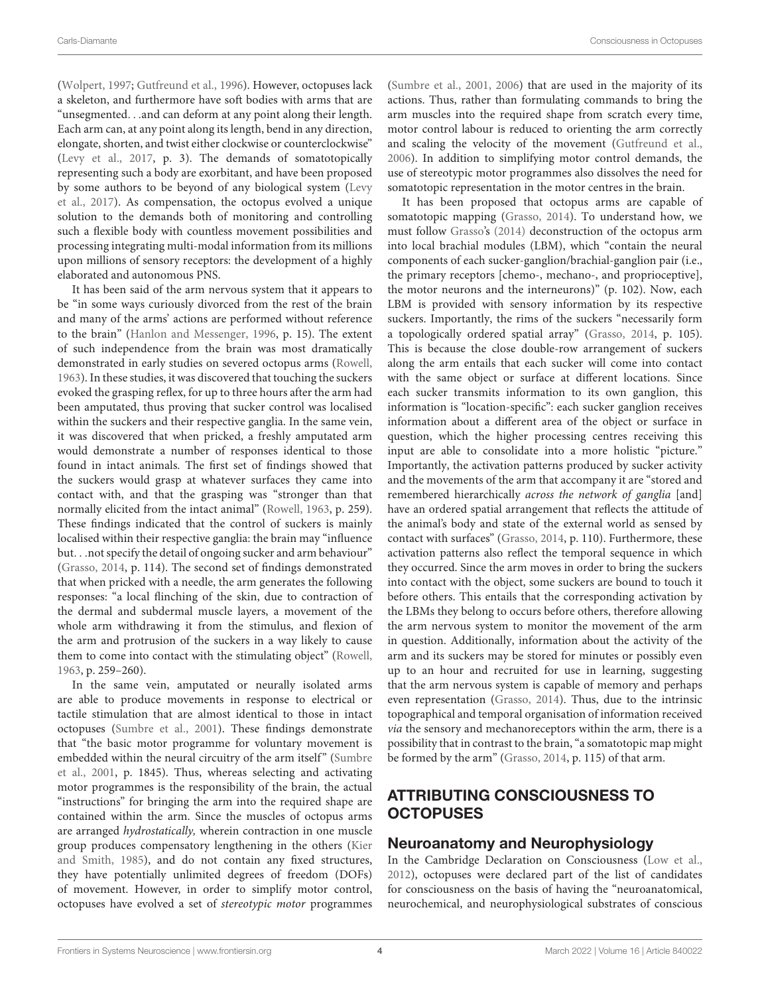[\(Wolpert,](#page-8-10) [1997;](#page-8-10) [Gutfreund et al.,](#page-7-9) [1996\)](#page-7-9). However, octopuses lack a skeleton, and furthermore have soft bodies with arms that are "unsegmented. . .and can deform at any point along their length. Each arm can, at any point along its length, bend in any direction, elongate, shorten, and twist either clockwise or counterclockwise" [\(Levy et al.,](#page-7-8) [2017,](#page-7-8) p. 3). The demands of somatotopically representing such a body are exorbitant, and have been proposed by some authors to be beyond of any biological system [\(Levy](#page-7-8) [et al.,](#page-7-8) [2017\)](#page-7-8). As compensation, the octopus evolved a unique solution to the demands both of monitoring and controlling such a flexible body with countless movement possibilities and processing integrating multi-modal information from its millions upon millions of sensory receptors: the development of a highly elaborated and autonomous PNS.

It has been said of the arm nervous system that it appears to be "in some ways curiously divorced from the rest of the brain and many of the arms' actions are performed without reference to the brain" [\(Hanlon and Messenger,](#page-7-10) [1996,](#page-7-10) p. 15). The extent of such independence from the brain was most dramatically demonstrated in early studies on severed octopus arms [\(Rowell,](#page-8-11) [1963\)](#page-8-11). In these studies, it was discovered that touching the suckers evoked the grasping reflex, for up to three hours after the arm had been amputated, thus proving that sucker control was localised within the suckers and their respective ganglia. In the same vein, it was discovered that when pricked, a freshly amputated arm would demonstrate a number of responses identical to those found in intact animals. The first set of findings showed that the suckers would grasp at whatever surfaces they came into contact with, and that the grasping was "stronger than that normally elicited from the intact animal" [\(Rowell,](#page-8-11) [1963,](#page-8-11) p. 259). These findings indicated that the control of suckers is mainly localised within their respective ganglia: the brain may "influence but. . .not specify the detail of ongoing sucker and arm behaviour" [\(Grasso,](#page-7-0) [2014,](#page-7-0) p. 114). The second set of findings demonstrated that when pricked with a needle, the arm generates the following responses: "a local flinching of the skin, due to contraction of the dermal and subdermal muscle layers, a movement of the whole arm withdrawing it from the stimulus, and flexion of the arm and protrusion of the suckers in a way likely to cause them to come into contact with the stimulating object" [\(Rowell,](#page-8-11) [1963,](#page-8-11) p. 259–260).

In the same vein, amputated or neurally isolated arms are able to produce movements in response to electrical or tactile stimulation that are almost identical to those in intact octopuses [\(Sumbre et al.,](#page-8-12) [2001\)](#page-8-12). These findings demonstrate that "the basic motor programme for voluntary movement is embedded within the neural circuitry of the arm itself" [\(Sumbre](#page-8-12) [et al.,](#page-8-12) [2001,](#page-8-12) p. 1845). Thus, whereas selecting and activating motor programmes is the responsibility of the brain, the actual "instructions" for bringing the arm into the required shape are contained within the arm. Since the muscles of octopus arms are arranged hydrostatically, wherein contraction in one muscle group produces compensatory lengthening in the others [\(Kier](#page-7-11) [and Smith,](#page-7-11) [1985\)](#page-7-11), and do not contain any fixed structures, they have potentially unlimited degrees of freedom (DOFs) of movement. However, in order to simplify motor control, octopuses have evolved a set of stereotypic motor programmes

[\(Sumbre et al.,](#page-8-12) [2001,](#page-8-12) [2006\)](#page-8-6) that are used in the majority of its actions. Thus, rather than formulating commands to bring the arm muscles into the required shape from scratch every time, motor control labour is reduced to orienting the arm correctly and scaling the velocity of the movement [\(Gutfreund et al.,](#page-7-12) [2006\)](#page-7-12). In addition to simplifying motor control demands, the use of stereotypic motor programmes also dissolves the need for somatotopic representation in the motor centres in the brain.

It has been proposed that octopus arms are capable of somatotopic mapping [\(Grasso,](#page-7-0) [2014\)](#page-7-0). To understand how, we must follow [Grasso'](#page-7-0)s [\(2014\)](#page-7-0) deconstruction of the octopus arm into local brachial modules (LBM), which "contain the neural components of each sucker-ganglion/brachial-ganglion pair (i.e., the primary receptors [chemo-, mechano-, and proprioceptive], the motor neurons and the interneurons)" (p. 102). Now, each LBM is provided with sensory information by its respective suckers. Importantly, the rims of the suckers "necessarily form a topologically ordered spatial array" [\(Grasso,](#page-7-0) [2014,](#page-7-0) p. 105). This is because the close double-row arrangement of suckers along the arm entails that each sucker will come into contact with the same object or surface at different locations. Since each sucker transmits information to its own ganglion, this information is "location-specific": each sucker ganglion receives information about a different area of the object or surface in question, which the higher processing centres receiving this input are able to consolidate into a more holistic "picture." Importantly, the activation patterns produced by sucker activity and the movements of the arm that accompany it are "stored and remembered hierarchically across the network of ganglia [and] have an ordered spatial arrangement that reflects the attitude of the animal's body and state of the external world as sensed by contact with surfaces" [\(Grasso,](#page-7-0) [2014,](#page-7-0) p. 110). Furthermore, these activation patterns also reflect the temporal sequence in which they occurred. Since the arm moves in order to bring the suckers into contact with the object, some suckers are bound to touch it before others. This entails that the corresponding activation by the LBMs they belong to occurs before others, therefore allowing the arm nervous system to monitor the movement of the arm in question. Additionally, information about the activity of the arm and its suckers may be stored for minutes or possibly even up to an hour and recruited for use in learning, suggesting that the arm nervous system is capable of memory and perhaps even representation [\(Grasso,](#page-7-0) [2014\)](#page-7-0). Thus, due to the intrinsic topographical and temporal organisation of information received via the sensory and mechanoreceptors within the arm, there is a possibility that in contrast to the brain, "a somatotopic map might be formed by the arm" [\(Grasso,](#page-7-0) [2014,](#page-7-0) p. 115) of that arm.

## ATTRIBUTING CONSCIOUSNESS TO **OCTOPUSES**

#### Neuroanatomy and Neurophysiology

In the Cambridge Declaration on Consciousness [\(Low et al.,](#page-8-13) [2012\)](#page-8-13), octopuses were declared part of the list of candidates for consciousness on the basis of having the "neuroanatomical, neurochemical, and neurophysiological substrates of conscious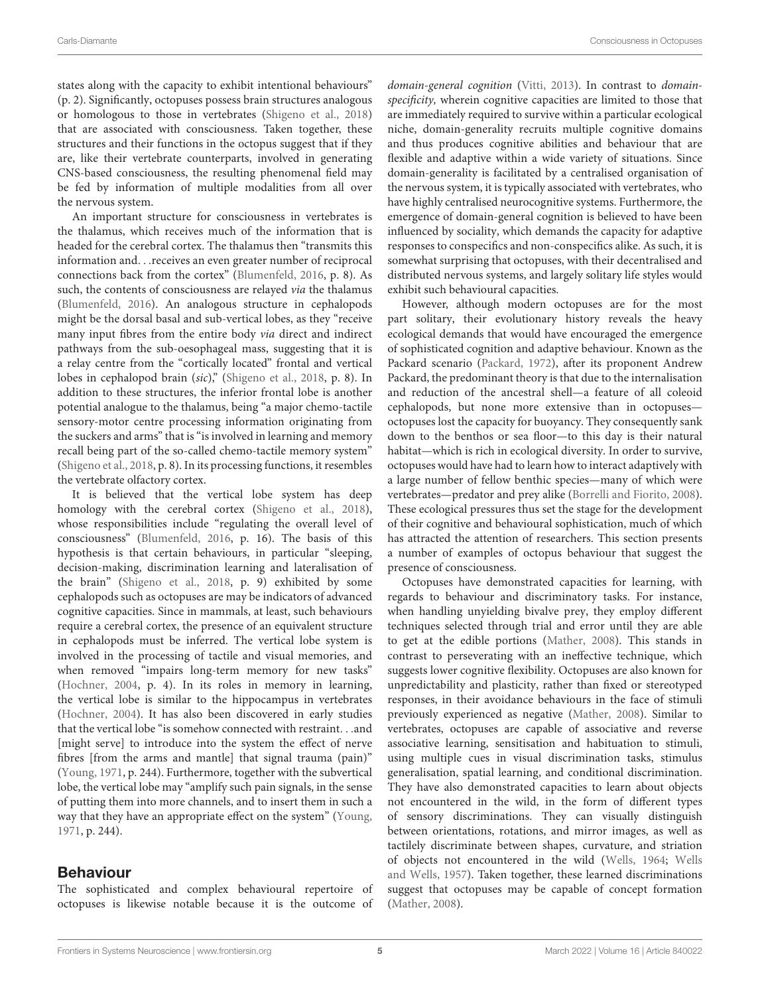states along with the capacity to exhibit intentional behaviours" (p. 2). Significantly, octopuses possess brain structures analogous or homologous to those in vertebrates [\(Shigeno et al.,](#page-8-1) [2018\)](#page-8-1) that are associated with consciousness. Taken together, these structures and their functions in the octopus suggest that if they are, like their vertebrate counterparts, involved in generating CNS-based consciousness, the resulting phenomenal field may be fed by information of multiple modalities from all over the nervous system.

An important structure for consciousness in vertebrates is the thalamus, which receives much of the information that is headed for the cerebral cortex. The thalamus then "transmits this information and. . .receives an even greater number of reciprocal connections back from the cortex" [\(Blumenfeld,](#page-7-13) [2016,](#page-7-13) p. 8). As such, the contents of consciousness are relayed via the thalamus [\(Blumenfeld,](#page-7-13) [2016\)](#page-7-13). An analogous structure in cephalopods might be the dorsal basal and sub-vertical lobes, as they "receive many input fibres from the entire body via direct and indirect pathways from the sub-oesophageal mass, suggesting that it is a relay centre from the "cortically located" frontal and vertical lobes in cephalopod brain (sic)," [\(Shigeno et al.,](#page-8-1) [2018,](#page-8-1) p. 8). In addition to these structures, the inferior frontal lobe is another potential analogue to the thalamus, being "a major chemo-tactile sensory-motor centre processing information originating from the suckers and arms" that is "is involved in learning and memory recall being part of the so-called chemo-tactile memory system" [\(Shigeno et al.,](#page-8-1) [2018,](#page-8-1) p. 8). In its processing functions, it resembles the vertebrate olfactory cortex.

It is believed that the vertical lobe system has deep homology with the cerebral cortex [\(Shigeno et al.,](#page-8-1) [2018\)](#page-8-1), whose responsibilities include "regulating the overall level of consciousness" [\(Blumenfeld,](#page-7-13) [2016,](#page-7-13) p. 16). The basis of this hypothesis is that certain behaviours, in particular "sleeping, decision-making, discrimination learning and lateralisation of the brain" [\(Shigeno et al.,](#page-8-1) [2018,](#page-8-1) p. 9) exhibited by some cephalopods such as octopuses are may be indicators of advanced cognitive capacities. Since in mammals, at least, such behaviours require a cerebral cortex, the presence of an equivalent structure in cephalopods must be inferred. The vertical lobe system is involved in the processing of tactile and visual memories, and when removed "impairs long-term memory for new tasks" [\(Hochner,](#page-7-6) [2004,](#page-7-6) p. 4). In its roles in memory in learning, the vertical lobe is similar to the hippocampus in vertebrates [\(Hochner,](#page-7-6) [2004\)](#page-7-6). It has also been discovered in early studies that the vertical lobe "is somehow connected with restraint. . .and [might serve] to introduce into the system the effect of nerve fibres [from the arms and mantle] that signal trauma (pain)" [\(Young,](#page-8-7) [1971,](#page-8-7) p. 244). Furthermore, together with the subvertical lobe, the vertical lobe may "amplify such pain signals, in the sense of putting them into more channels, and to insert them in such a way that they have an appropriate effect on the system" [\(Young,](#page-8-7) [1971,](#page-8-7) p. 244).

#### Behaviour

The sophisticated and complex behavioural repertoire of octopuses is likewise notable because it is the outcome of domain-general cognition [\(Vitti,](#page-8-14) [2013\)](#page-8-14). In contrast to domainspecificity, wherein cognitive capacities are limited to those that are immediately required to survive within a particular ecological niche, domain-generality recruits multiple cognitive domains and thus produces cognitive abilities and behaviour that are flexible and adaptive within a wide variety of situations. Since domain-generality is facilitated by a centralised organisation of the nervous system, it is typically associated with vertebrates, who have highly centralised neurocognitive systems. Furthermore, the emergence of domain-general cognition is believed to have been influenced by sociality, which demands the capacity for adaptive responses to conspecifics and non-conspecifics alike. As such, it is somewhat surprising that octopuses, with their decentralised and distributed nervous systems, and largely solitary life styles would exhibit such behavioural capacities.

However, although modern octopuses are for the most part solitary, their evolutionary history reveals the heavy ecological demands that would have encouraged the emergence of sophisticated cognition and adaptive behaviour. Known as the Packard scenario [\(Packard,](#page-8-15) [1972\)](#page-8-15), after its proponent Andrew Packard, the predominant theory is that due to the internalisation and reduction of the ancestral shell—a feature of all coleoid cephalopods, but none more extensive than in octopuses octopuses lost the capacity for buoyancy. They consequently sank down to the benthos or sea floor—to this day is their natural habitat—which is rich in ecological diversity. In order to survive, octopuses would have had to learn how to interact adaptively with a large number of fellow benthic species—many of which were vertebrates—predator and prey alike [\(Borrelli and Fiorito,](#page-7-14) [2008\)](#page-7-14). These ecological pressures thus set the stage for the development of their cognitive and behavioural sophistication, much of which has attracted the attention of researchers. This section presents a number of examples of octopus behaviour that suggest the presence of consciousness.

Octopuses have demonstrated capacities for learning, with regards to behaviour and discriminatory tasks. For instance, when handling unyielding bivalve prey, they employ different techniques selected through trial and error until they are able to get at the edible portions [\(Mather,](#page-8-16) [2008\)](#page-8-16). This stands in contrast to perseverating with an ineffective technique, which suggests lower cognitive flexibility. Octopuses are also known for unpredictability and plasticity, rather than fixed or stereotyped responses, in their avoidance behaviours in the face of stimuli previously experienced as negative [\(Mather,](#page-8-16) [2008\)](#page-8-16). Similar to vertebrates, octopuses are capable of associative and reverse associative learning, sensitisation and habituation to stimuli, using multiple cues in visual discrimination tasks, stimulus generalisation, spatial learning, and conditional discrimination. They have also demonstrated capacities to learn about objects not encountered in the wild, in the form of different types of sensory discriminations. They can visually distinguish between orientations, rotations, and mirror images, as well as tactilely discriminate between shapes, curvature, and striation of objects not encountered in the wild [\(Wells,](#page-8-17) [1964;](#page-8-17) [Wells](#page-8-18) [and Wells,](#page-8-18) [1957\)](#page-8-18). Taken together, these learned discriminations suggest that octopuses may be capable of concept formation [\(Mather,](#page-8-16) [2008\)](#page-8-16).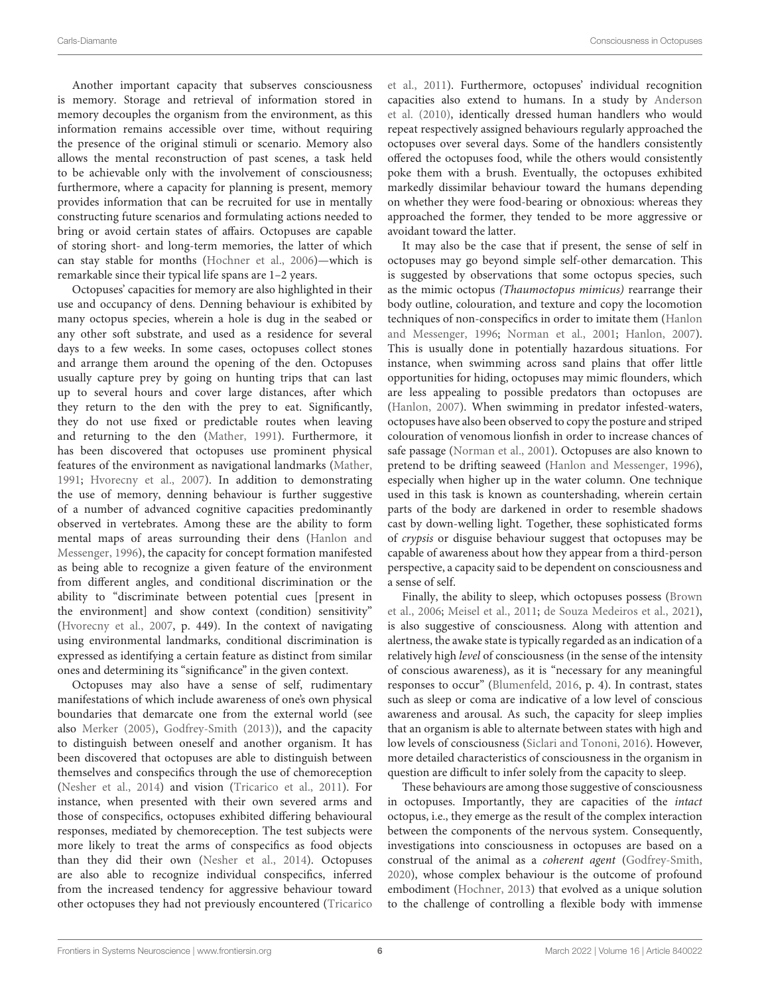Another important capacity that subserves consciousness is memory. Storage and retrieval of information stored in memory decouples the organism from the environment, as this information remains accessible over time, without requiring the presence of the original stimuli or scenario. Memory also allows the mental reconstruction of past scenes, a task held to be achievable only with the involvement of consciousness; furthermore, where a capacity for planning is present, memory provides information that can be recruited for use in mentally constructing future scenarios and formulating actions needed to bring or avoid certain states of affairs. Octopuses are capable of storing short- and long-term memories, the latter of which can stay stable for months [\(Hochner et al.,](#page-7-15) [2006\)](#page-7-15)—which is remarkable since their typical life spans are 1–2 years.

Octopuses' capacities for memory are also highlighted in their use and occupancy of dens. Denning behaviour is exhibited by many octopus species, wherein a hole is dug in the seabed or any other soft substrate, and used as a residence for several days to a few weeks. In some cases, octopuses collect stones and arrange them around the opening of the den. Octopuses usually capture prey by going on hunting trips that can last up to several hours and cover large distances, after which they return to the den with the prey to eat. Significantly, they do not use fixed or predictable routes when leaving and returning to the den [\(Mather,](#page-8-19) [1991\)](#page-8-19). Furthermore, it has been discovered that octopuses use prominent physical features of the environment as navigational landmarks [\(Mather,](#page-8-19) [1991;](#page-8-19) [Hvorecny et al.,](#page-7-16) [2007\)](#page-7-16). In addition to demonstrating the use of memory, denning behaviour is further suggestive of a number of advanced cognitive capacities predominantly observed in vertebrates. Among these are the ability to form mental maps of areas surrounding their dens [\(Hanlon and](#page-7-10) [Messenger,](#page-7-10) [1996\)](#page-7-10), the capacity for concept formation manifested as being able to recognize a given feature of the environment from different angles, and conditional discrimination or the ability to "discriminate between potential cues [present in the environment] and show context (condition) sensitivity" [\(Hvorecny et al.,](#page-7-16) [2007,](#page-7-16) p. 449). In the context of navigating using environmental landmarks, conditional discrimination is expressed as identifying a certain feature as distinct from similar ones and determining its "significance" in the given context.

Octopuses may also have a sense of self, rudimentary manifestations of which include awareness of one's own physical boundaries that demarcate one from the external world (see also [Merker](#page-8-20) [\(2005\)](#page-8-20), [Godfrey-Smith](#page-7-17) [\(2013\)](#page-7-17)), and the capacity to distinguish between oneself and another organism. It has been discovered that octopuses are able to distinguish between themselves and conspecifics through the use of chemoreception [\(Nesher et al.,](#page-8-21) [2014\)](#page-8-21) and vision [\(Tricarico et al.,](#page-8-22) [2011\)](#page-8-22). For instance, when presented with their own severed arms and those of conspecifics, octopuses exhibited differing behavioural responses, mediated by chemoreception. The test subjects were more likely to treat the arms of conspecifics as food objects than they did their own [\(Nesher et al.,](#page-8-21) [2014\)](#page-8-21). Octopuses are also able to recognize individual conspecifics, inferred from the increased tendency for aggressive behaviour toward other octopuses they had not previously encountered [\(Tricarico](#page-8-22)

[et al.,](#page-8-22) [2011\)](#page-8-22). Furthermore, octopuses' individual recognition capacities also extend to humans. In a study by [Anderson](#page-7-18) [et al.](#page-7-18) [\(2010\)](#page-7-18), identically dressed human handlers who would repeat respectively assigned behaviours regularly approached the octopuses over several days. Some of the handlers consistently offered the octopuses food, while the others would consistently poke them with a brush. Eventually, the octopuses exhibited markedly dissimilar behaviour toward the humans depending on whether they were food-bearing or obnoxious: whereas they approached the former, they tended to be more aggressive or avoidant toward the latter.

It may also be the case that if present, the sense of self in octopuses may go beyond simple self-other demarcation. This is suggested by observations that some octopus species, such as the mimic octopus (Thaumoctopus mimicus) rearrange their body outline, colouration, and texture and copy the locomotion techniques of non-conspecifics in order to imitate them [\(Hanlon](#page-7-10) [and Messenger,](#page-7-10) [1996;](#page-7-10) [Norman et al.,](#page-8-23) [2001;](#page-8-23) [Hanlon,](#page-7-19) [2007\)](#page-7-19). This is usually done in potentially hazardous situations. For instance, when swimming across sand plains that offer little opportunities for hiding, octopuses may mimic flounders, which are less appealing to possible predators than octopuses are [\(Hanlon,](#page-7-19) [2007\)](#page-7-19). When swimming in predator infested-waters, octopuses have also been observed to copy the posture and striped colouration of venomous lionfish in order to increase chances of safe passage [\(Norman et al.,](#page-8-23) [2001\)](#page-8-23). Octopuses are also known to pretend to be drifting seaweed [\(Hanlon and Messenger,](#page-7-10) [1996\)](#page-7-10), especially when higher up in the water column. One technique used in this task is known as countershading, wherein certain parts of the body are darkened in order to resemble shadows cast by down-welling light. Together, these sophisticated forms of crypsis or disguise behaviour suggest that octopuses may be capable of awareness about how they appear from a third-person perspective, a capacity said to be dependent on consciousness and a sense of self.

Finally, the ability to sleep, which octopuses possess [\(Brown](#page-7-20) [et al.,](#page-7-20) [2006;](#page-7-20) [Meisel et al.,](#page-8-24) [2011;](#page-8-24) [de Souza Medeiros et al.,](#page-7-21) [2021\)](#page-7-21), is also suggestive of consciousness. Along with attention and alertness, the awake state is typically regarded as an indication of a relatively high level of consciousness (in the sense of the intensity of conscious awareness), as it is "necessary for any meaningful responses to occur" [\(Blumenfeld,](#page-7-13) [2016,](#page-7-13) p. 4). In contrast, states such as sleep or coma are indicative of a low level of conscious awareness and arousal. As such, the capacity for sleep implies that an organism is able to alternate between states with high and low levels of consciousness [\(Siclari and Tononi,](#page-8-25) [2016\)](#page-8-25). However, more detailed characteristics of consciousness in the organism in question are difficult to infer solely from the capacity to sleep.

These behaviours are among those suggestive of consciousness in octopuses. Importantly, they are capacities of the intact octopus, i.e., they emerge as the result of the complex interaction between the components of the nervous system. Consequently, investigations into consciousness in octopuses are based on a construal of the animal as a coherent agent [\(Godfrey-Smith,](#page-7-22) [2020\)](#page-7-22), whose complex behaviour is the outcome of profound embodiment [\(Hochner,](#page-7-23) [2013\)](#page-7-23) that evolved as a unique solution to the challenge of controlling a flexible body with immense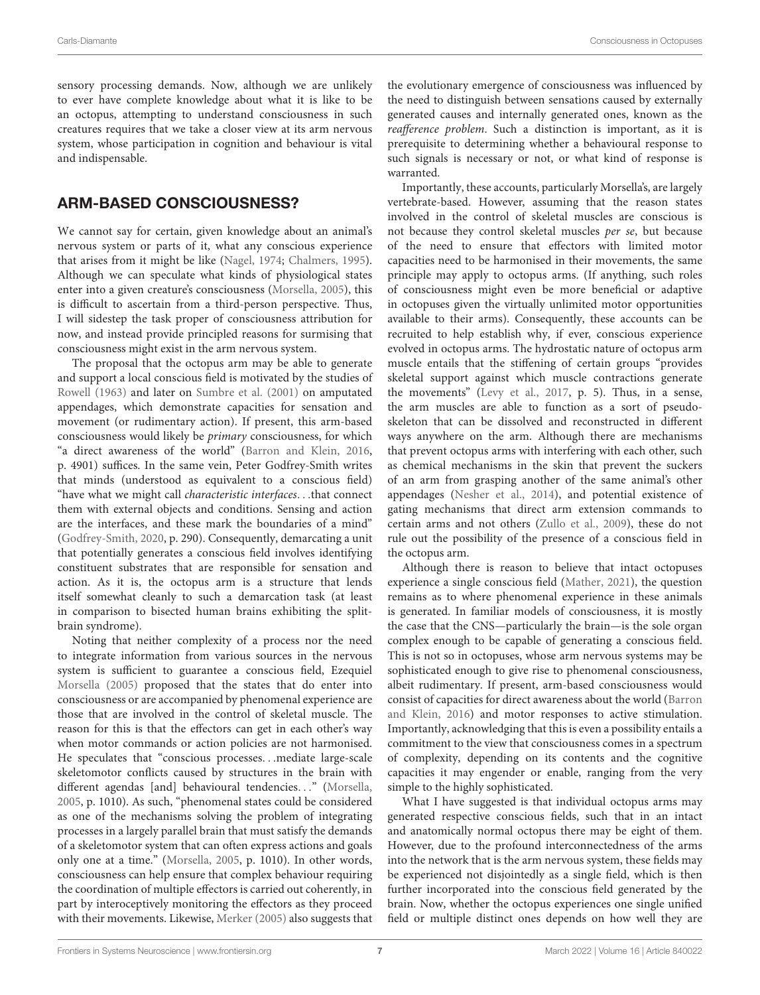sensory processing demands. Now, although we are unlikely to ever have complete knowledge about what it is like to be an octopus, attempting to understand consciousness in such creatures requires that we take a closer view at its arm nervous system, whose participation in cognition and behaviour is vital and indispensable.

## ARM-BASED CONSCIOUSNESS?

We cannot say for certain, given knowledge about an animal's nervous system or parts of it, what any conscious experience that arises from it might be like [\(Nagel,](#page-8-2) [1974;](#page-8-2) [Chalmers,](#page-7-24) [1995\)](#page-7-24). Although we can speculate what kinds of physiological states enter into a given creature's consciousness [\(Morsella,](#page-8-26) [2005\)](#page-8-26), this is difficult to ascertain from a third-person perspective. Thus, I will sidestep the task proper of consciousness attribution for now, and instead provide principled reasons for surmising that consciousness might exist in the arm nervous system.

The proposal that the octopus arm may be able to generate and support a local conscious field is motivated by the studies of [Rowell](#page-8-11) [\(1963\)](#page-8-11) and later on [Sumbre et al.](#page-8-12) [\(2001\)](#page-8-12) on amputated appendages, which demonstrate capacities for sensation and movement (or rudimentary action). If present, this arm-based consciousness would likely be primary consciousness, for which "a direct awareness of the world" [\(Barron and Klein,](#page-7-3) [2016,](#page-7-3) p. 4901) suffices. In the same vein, Peter Godfrey-Smith writes that minds (understood as equivalent to a conscious field) "have what we might call characteristic interfaces. . .that connect them with external objects and conditions. Sensing and action are the interfaces, and these mark the boundaries of a mind" [\(Godfrey-Smith,](#page-7-22) [2020,](#page-7-22) p. 290). Consequently, demarcating a unit that potentially generates a conscious field involves identifying constituent substrates that are responsible for sensation and action. As it is, the octopus arm is a structure that lends itself somewhat cleanly to such a demarcation task (at least in comparison to bisected human brains exhibiting the splitbrain syndrome).

Noting that neither complexity of a process nor the need to integrate information from various sources in the nervous system is sufficient to guarantee a conscious field, Ezequiel [Morsella](#page-8-26) [\(2005\)](#page-8-26) proposed that the states that do enter into consciousness or are accompanied by phenomenal experience are those that are involved in the control of skeletal muscle. The reason for this is that the effectors can get in each other's way when motor commands or action policies are not harmonised. He speculates that "conscious processes. . .mediate large-scale skeletomotor conflicts caused by structures in the brain with different agendas [and] behavioural tendencies..." [\(Morsella,](#page-8-26) [2005,](#page-8-26) p. 1010). As such, "phenomenal states could be considered as one of the mechanisms solving the problem of integrating processes in a largely parallel brain that must satisfy the demands of a skeletomotor system that can often express actions and goals only one at a time." [\(Morsella,](#page-8-26) [2005,](#page-8-26) p. 1010). In other words, consciousness can help ensure that complex behaviour requiring the coordination of multiple effectors is carried out coherently, in part by interoceptively monitoring the effectors as they proceed with their movements. Likewise, [Merker](#page-8-20) [\(2005\)](#page-8-20) also suggests that the evolutionary emergence of consciousness was influenced by the need to distinguish between sensations caused by externally generated causes and internally generated ones, known as the reafference problem. Such a distinction is important, as it is prerequisite to determining whether a behavioural response to such signals is necessary or not, or what kind of response is warranted.

Importantly, these accounts, particularly Morsella's, are largely vertebrate-based. However, assuming that the reason states involved in the control of skeletal muscles are conscious is not because they control skeletal muscles per se, but because of the need to ensure that effectors with limited motor capacities need to be harmonised in their movements, the same principle may apply to octopus arms. (If anything, such roles of consciousness might even be more beneficial or adaptive in octopuses given the virtually unlimited motor opportunities available to their arms). Consequently, these accounts can be recruited to help establish why, if ever, conscious experience evolved in octopus arms. The hydrostatic nature of octopus arm muscle entails that the stiffening of certain groups "provides skeletal support against which muscle contractions generate the movements" [\(Levy et al.,](#page-7-8) [2017,](#page-7-8) p. 5). Thus, in a sense, the arm muscles are able to function as a sort of pseudoskeleton that can be dissolved and reconstructed in different ways anywhere on the arm. Although there are mechanisms that prevent octopus arms with interfering with each other, such as chemical mechanisms in the skin that prevent the suckers of an arm from grasping another of the same animal's other appendages [\(Nesher et al.,](#page-8-21) [2014\)](#page-8-21), and potential existence of gating mechanisms that direct arm extension commands to certain arms and not others [\(Zullo et al.,](#page-8-8) [2009\)](#page-8-8), these do not rule out the possibility of the presence of a conscious field in the octopus arm.

Although there is reason to believe that intact octopuses experience a single conscious field [\(Mather,](#page-8-4) [2021\)](#page-8-4), the question remains as to where phenomenal experience in these animals is generated. In familiar models of consciousness, it is mostly the case that the CNS—particularly the brain—is the sole organ complex enough to be capable of generating a conscious field. This is not so in octopuses, whose arm nervous systems may be sophisticated enough to give rise to phenomenal consciousness, albeit rudimentary. If present, arm-based consciousness would consist of capacities for direct awareness about the world [\(Barron](#page-7-3) [and Klein,](#page-7-3) [2016\)](#page-7-3) and motor responses to active stimulation. Importantly, acknowledging that this is even a possibility entails a commitment to the view that consciousness comes in a spectrum of complexity, depending on its contents and the cognitive capacities it may engender or enable, ranging from the very simple to the highly sophisticated.

What I have suggested is that individual octopus arms may generated respective conscious fields, such that in an intact and anatomically normal octopus there may be eight of them. However, due to the profound interconnectedness of the arms into the network that is the arm nervous system, these fields may be experienced not disjointedly as a single field, which is then further incorporated into the conscious field generated by the brain. Now, whether the octopus experiences one single unified field or multiple distinct ones depends on how well they are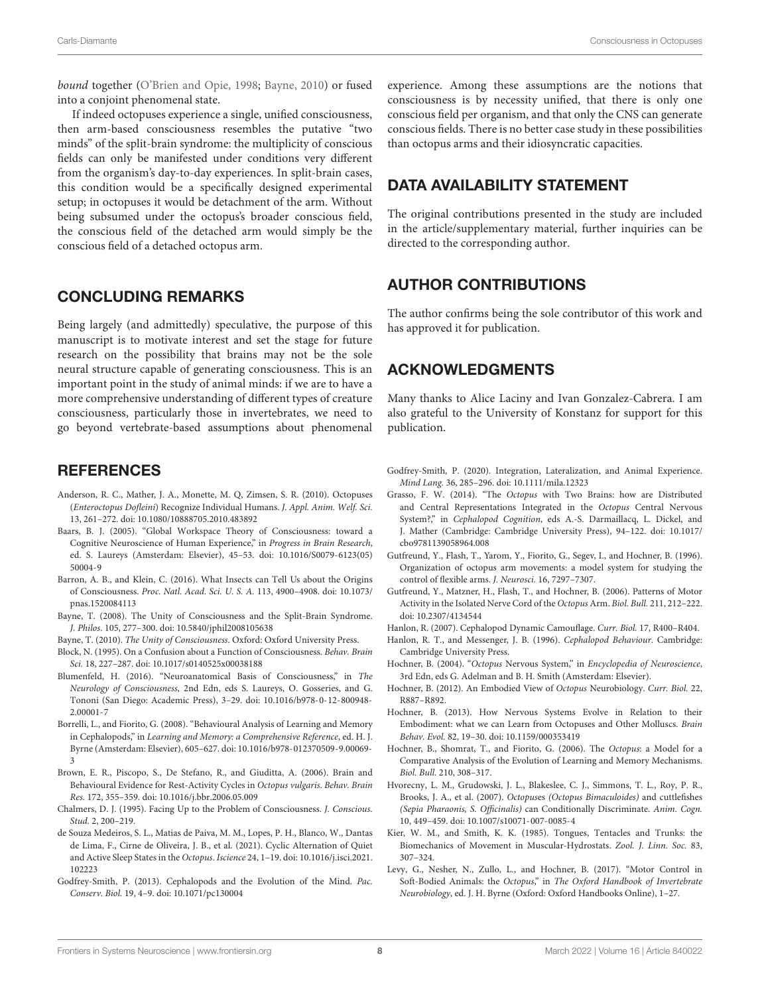bound together [\(O'Brien and Opie,](#page-8-27) [1998;](#page-8-27) [Bayne,](#page-7-4) [2010\)](#page-7-4) or fused into a conjoint phenomenal state.

If indeed octopuses experience a single, unified consciousness, then arm-based consciousness resembles the putative "two minds" of the split-brain syndrome: the multiplicity of conscious fields can only be manifested under conditions very different from the organism's day-to-day experiences. In split-brain cases, this condition would be a specifically designed experimental setup; in octopuses it would be detachment of the arm. Without being subsumed under the octopus's broader conscious field, the conscious field of the detached arm would simply be the conscious field of a detached octopus arm.

#### CONCLUDING REMARKS

Being largely (and admittedly) speculative, the purpose of this manuscript is to motivate interest and set the stage for future research on the possibility that brains may not be the sole neural structure capable of generating consciousness. This is an important point in the study of animal minds: if we are to have a more comprehensive understanding of different types of creature consciousness, particularly those in invertebrates, we need to go beyond vertebrate-based assumptions about phenomenal

#### **REFERENCES**

- <span id="page-7-18"></span>Anderson, R. C., Mather, J. A., Monette, M. Q, Zimsen, S. R. (2010). Octopuses (Enteroctopus Dofleini) Recognize Individual Humans. J. Appl. Anim. Welf. Sci. 13, 261–272. [doi: 10.1080/10888705.2010.483892](https://doi.org/10.1080/10888705.2010.483892)
- <span id="page-7-2"></span>Baars, B. J. (2005). "Global Workspace Theory of Consciousness: toward a Cognitive Neuroscience of Human Experience," in Progress in Brain Research, ed. S. Laureys (Amsterdam: Elsevier), 45–53. [doi: 10.1016/S0079-6123\(05\)](https://doi.org/10.1016/S0079-6123(05)50004-9) [50004-9](https://doi.org/10.1016/S0079-6123(05)50004-9)
- <span id="page-7-3"></span>Barron, A. B., and Klein, C. (2016). What Insects can Tell Us about the Origins of Consciousness. Proc. Natl. Acad. Sci. U. S. A. 113, 4900–4908. [doi: 10.1073/](https://doi.org/10.1073/pnas.1520084113) [pnas.1520084113](https://doi.org/10.1073/pnas.1520084113)
- <span id="page-7-5"></span>Bayne, T. (2008). The Unity of Consciousness and the Split-Brain Syndrome. J. Philos. 105, 277–300. [doi: 10.5840/jphil2008105638](https://doi.org/10.5840/jphil2008105638)
- <span id="page-7-4"></span>Bayne, T. (2010). The Unity of Consciousness. Oxford: Oxford University Press.
- <span id="page-7-1"></span>Block, N. (1995). On a Confusion about a Function of Consciousness. Behav. Brain Sci. 18, 227–287. [doi: 10.1017/s0140525x00038188](https://doi.org/10.1017/s0140525x00038188)
- <span id="page-7-13"></span>Blumenfeld, H. (2016). "Neuroanatomical Basis of Consciousness," in The Neurology of Consciousness, 2nd Edn, eds S. Laureys, O. Gosseries, and G. Tononi (San Diego: Academic Press), 3–29. [doi: 10.1016/b978-0-12-800948-](https://doi.org/10.1016/b978-0-12-800948-2.00001-7) [2.00001-7](https://doi.org/10.1016/b978-0-12-800948-2.00001-7)
- <span id="page-7-14"></span>Borrelli, L., and Fiorito, G. (2008). "Behavioural Analysis of Learning and Memory in Cephalopods," in Learning and Memory: a Comprehensive Reference, ed. H. J. Byrne (Amsterdam: Elsevier), 605–627. [doi: 10.1016/b978-012370509-9.00069-](https://doi.org/10.1016/b978-012370509-9.00069-3) [3](https://doi.org/10.1016/b978-012370509-9.00069-3)
- <span id="page-7-20"></span>Brown, E. R., Piscopo, S., De Stefano, R., and Giuditta, A. (2006). Brain and Behavioural Evidence for Rest-Activity Cycles in Octopus vulgaris. Behav. Brain Res. 172, 355–359. [doi: 10.1016/j.bbr.2006.05.009](https://doi.org/10.1016/j.bbr.2006.05.009)
- <span id="page-7-24"></span>Chalmers, D. J. (1995). Facing Up to the Problem of Consciousness. J. Conscious. Stud. 2, 200–219.
- <span id="page-7-21"></span>de Souza Medeiros, S. L., Matias de Paiva, M. M., Lopes, P. H., Blanco, W., Dantas de Lima, F., Cirne de Oliveira, J. B., et al. (2021). Cyclic Alternation of Quiet and Active Sleep States in the Octopus. Iscience 24, 1–19. [doi: 10.1016/j.isci.2021.](https://doi.org/10.1016/j.isci.2021.102223) [102223](https://doi.org/10.1016/j.isci.2021.102223)
- <span id="page-7-17"></span>Godfrey-Smith, P. (2013). Cephalopods and the Evolution of the Mind. Pac. Conserv. Biol. 19, 4–9. [doi: 10.1071/pc130004](https://doi.org/10.1071/pc130004)

experience. Among these assumptions are the notions that consciousness is by necessity unified, that there is only one conscious field per organism, and that only the CNS can generate conscious fields. There is no better case study in these possibilities than octopus arms and their idiosyncratic capacities.

### DATA AVAILABILITY STATEMENT

The original contributions presented in the study are included in the article/supplementary material, further inquiries can be directed to the corresponding author.

### AUTHOR CONTRIBUTIONS

The author confirms being the sole contributor of this work and has approved it for publication.

## ACKNOWLEDGMENTS

Many thanks to Alice Laciny and Ivan Gonzalez-Cabrera. I am also grateful to the University of Konstanz for support for this publication.

- <span id="page-7-22"></span>Godfrey-Smith, P. (2020). Integration, Lateralization, and Animal Experience. Mind Lang. 36, 285–296. [doi: 10.1111/mila.12323](https://doi.org/10.1111/mila.12323)
- <span id="page-7-0"></span>Grasso, F. W. (2014). "The Octopus with Two Brains: how are Distributed and Central Representations Integrated in the Octopus Central Nervous System?," in Cephalopod Cognition, eds A.-S. Darmaillacq, L. Dickel, and J. Mather (Cambridge: Cambridge University Press), 94–122. [doi: 10.1017/](https://doi.org/10.1017/cbo9781139058964.008) [cbo9781139058964.008](https://doi.org/10.1017/cbo9781139058964.008)
- <span id="page-7-9"></span>Gutfreund, Y., Flash, T., Yarom, Y., Fiorito, G., Segev, I., and Hochner, B. (1996). Organization of octopus arm movements: a model system for studying the control of flexible arms. J. Neurosci. 16, 7297–7307.
- <span id="page-7-12"></span>Gutfreund, Y., Matzner, H., Flash, T., and Hochner, B. (2006). Patterns of Motor Activity in the Isolated Nerve Cord of the Octopus Arm. Biol. Bull. 211, 212–222. [doi: 10.2307/4134544](https://doi.org/10.2307/4134544)
- <span id="page-7-19"></span>Hanlon, R. (2007). Cephalopod Dynamic Camouflage. Curr. Biol. 17, R400–R404.
- <span id="page-7-10"></span>Hanlon, R. T., and Messenger, J. B. (1996). Cephalopod Behaviour. Cambridge: Cambridge University Press.
- <span id="page-7-6"></span>Hochner, B. (2004). "Octopus Nervous System," in Encyclopedia of Neuroscience, 3rd Edn, eds G. Adelman and B. H. Smith (Amsterdam: Elsevier).
- <span id="page-7-7"></span>Hochner, B. (2012). An Embodied View of Octopus Neurobiology. Curr. Biol. 22, R887–R892.
- <span id="page-7-23"></span>Hochner, B. (2013). How Nervous Systems Evolve in Relation to their Embodiment: what we can Learn from Octopuses and Other Molluscs. Brain Behav. Evol. 82, 19–30. [doi: 10.1159/000353419](https://doi.org/10.1159/000353419)
- <span id="page-7-15"></span>Hochner, B., Shomrat, T., and Fiorito, G. (2006). The Octopus: a Model for a Comparative Analysis of the Evolution of Learning and Memory Mechanisms. Biol. Bull. 210, 308–317.
- <span id="page-7-16"></span>Hvorecny, L. M., Grudowski, J. L., Blakeslee, C. J., Simmons, T. L., Roy, P. R., Brooks, J. A., et al. (2007). Octopuses (Octopus Bimaculoides) and cuttlefishes (Sepia Pharaonis, S. Officinalis) can Conditionally Discriminate. Anim. Cogn. 10, 449–459. [doi: 10.1007/s10071-007-0085-4](https://doi.org/10.1007/s10071-007-0085-4)
- <span id="page-7-11"></span>Kier, W. M., and Smith, K. K. (1985). Tongues, Tentacles and Trunks: the Biomechanics of Movement in Muscular-Hydrostats. Zool. J. Linn. Soc. 83, 307–324.
- <span id="page-7-8"></span>Levy, G., Nesher, N., Zullo, L., and Hochner, B. (2017). "Motor Control in Soft-Bodied Animals: the Octopus," in The Oxford Handbook of Invertebrate Neurobiology, ed. J. H. Byrne (Oxford: Oxford Handbooks Online), 1–27.